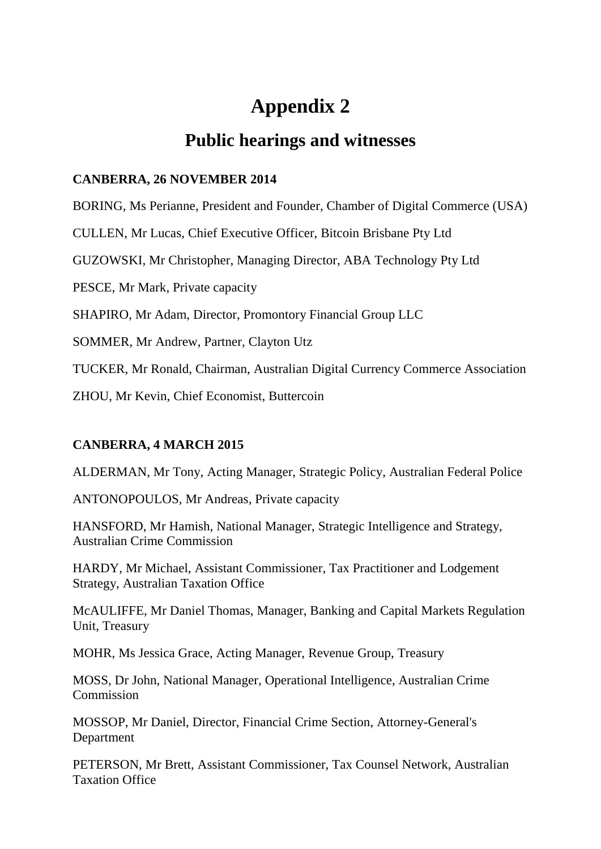# **Appendix 2**

## **Public hearings and witnesses**

#### **CANBERRA, 26 NOVEMBER 2014**

BORING, Ms Perianne, President and Founder, Chamber of Digital Commerce (USA)

CULLEN, Mr Lucas, Chief Executive Officer, Bitcoin Brisbane Pty Ltd

GUZOWSKI, Mr Christopher, Managing Director, ABA Technology Pty Ltd

PESCE, Mr Mark, Private capacity

SHAPIRO, Mr Adam, Director, Promontory Financial Group LLC

SOMMER, Mr Andrew, Partner, Clayton Utz

TUCKER, Mr Ronald, Chairman, Australian Digital Currency Commerce Association

ZHOU, Mr Kevin, Chief Economist, Buttercoin

### **CANBERRA, 4 MARCH 2015**

ALDERMAN, Mr Tony, Acting Manager, Strategic Policy, Australian Federal Police

ANTONOPOULOS, Mr Andreas, Private capacity

HANSFORD, Mr Hamish, National Manager, Strategic Intelligence and Strategy, Australian Crime Commission

HARDY, Mr Michael, Assistant Commissioner, Tax Practitioner and Lodgement Strategy, Australian Taxation Office

McAULIFFE, Mr Daniel Thomas, Manager, Banking and Capital Markets Regulation Unit, Treasury

MOHR, Ms Jessica Grace, Acting Manager, Revenue Group, Treasury

MOSS, Dr John, National Manager, Operational Intelligence, Australian Crime **Commission** 

MOSSOP, Mr Daniel, Director, Financial Crime Section, Attorney-General's Department

PETERSON, Mr Brett, Assistant Commissioner, Tax Counsel Network, Australian Taxation Office